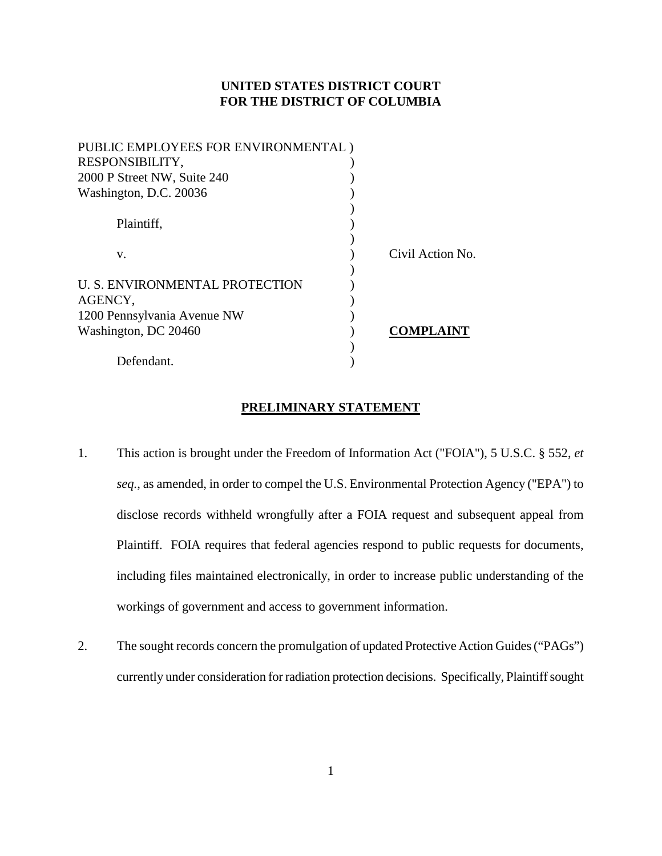## **UNITED STATES DISTRICT COURT FOR THE DISTRICT OF COLUMBIA**

| PUBLIC EMPLOYEES FOR ENVIRONMENTAL) |                  |
|-------------------------------------|------------------|
| RESPONSIBILITY,                     |                  |
| 2000 P Street NW, Suite 240         |                  |
| Washington, D.C. 20036              |                  |
|                                     |                  |
| Plaintiff,                          |                  |
|                                     |                  |
| V.                                  | Civil Action No. |
|                                     |                  |
| U. S. ENVIRONMENTAL PROTECTION      |                  |
| AGENCY,                             |                  |
| 1200 Pennsylvania Avenue NW         |                  |
| Washington, DC 20460                | COMPLAINT        |
|                                     |                  |
| Defendant.                          |                  |
|                                     |                  |

# **PRELIMINARY STATEMENT**

- 1. This action is brought under the Freedom of Information Act ("FOIA"), 5 U.S.C. § 552, *et seq.*, as amended, in order to compel the U.S. Environmental Protection Agency ("EPA") to disclose records withheld wrongfully after a FOIA request and subsequent appeal from Plaintiff. FOIA requires that federal agencies respond to public requests for documents, including files maintained electronically, in order to increase public understanding of the workings of government and access to government information.
- 2. The sought records concern the promulgation of updated Protective Action Guides ("PAGs") currently under consideration for radiation protection decisions. Specifically, Plaintiff sought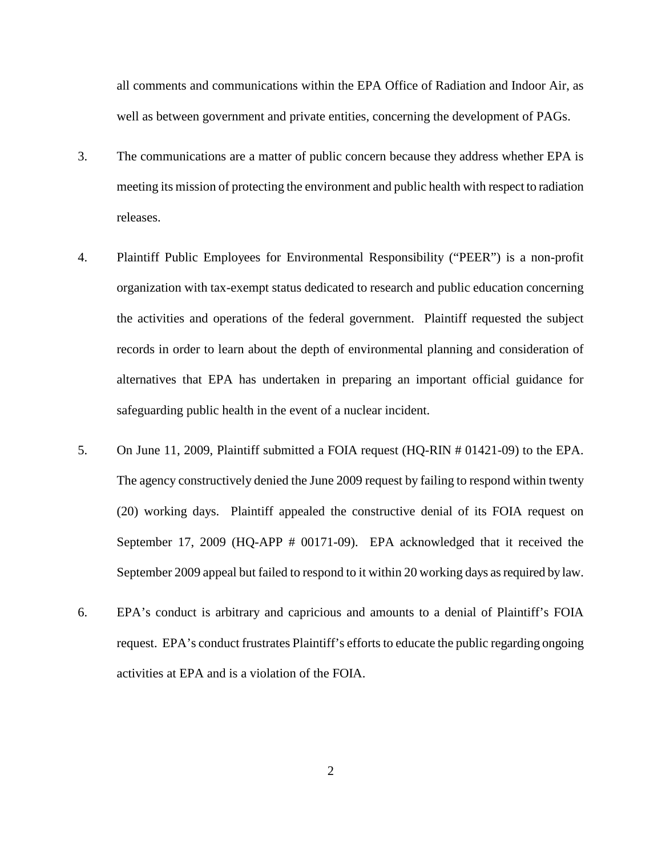all comments and communications within the EPA Office of Radiation and Indoor Air, as well as between government and private entities, concerning the development of PAGs.

- 3. The communications are a matter of public concern because they address whether EPA is meeting its mission of protecting the environment and public health with respect to radiation releases.
- 4. Plaintiff Public Employees for Environmental Responsibility ("PEER") is a non-profit organization with tax-exempt status dedicated to research and public education concerning the activities and operations of the federal government. Plaintiff requested the subject records in order to learn about the depth of environmental planning and consideration of alternatives that EPA has undertaken in preparing an important official guidance for safeguarding public health in the event of a nuclear incident.
- 5. On June 11, 2009, Plaintiff submitted a FOIA request (HQ-RIN # 01421-09) to the EPA. The agency constructively denied the June 2009 request by failing to respond within twenty (20) working days. Plaintiff appealed the constructive denial of its FOIA request on September 17, 2009 (HQ-APP # 00171-09). EPA acknowledged that it received the September 2009 appeal but failed to respond to it within 20 working days as required by law.
- 6. EPA's conduct is arbitrary and capricious and amounts to a denial of Plaintiff's FOIA request. EPA's conduct frustrates Plaintiff's efforts to educate the public regarding ongoing activities at EPA and is a violation of the FOIA.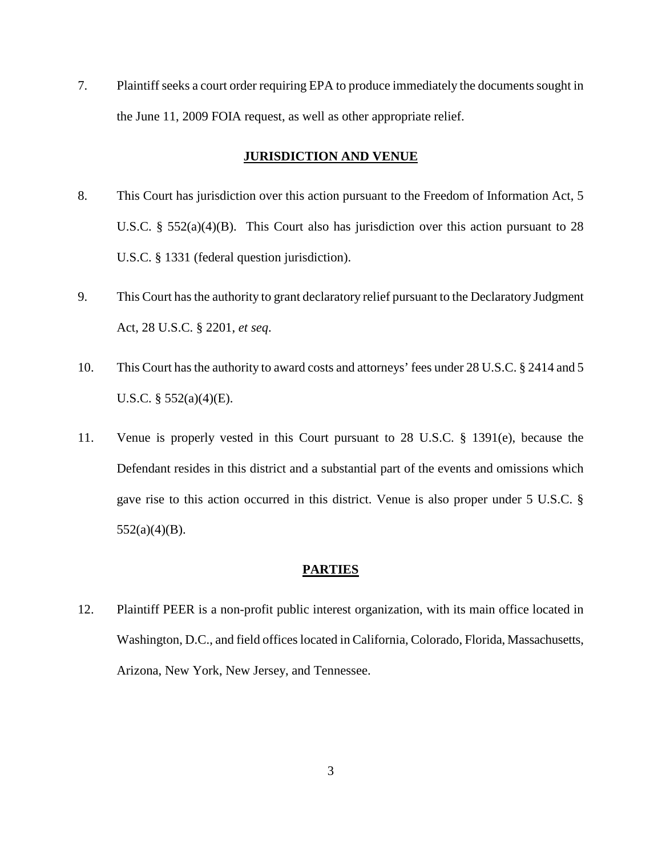7. Plaintiff seeks a court order requiring EPA to produce immediately the documents sought in the June 11, 2009 FOIA request, as well as other appropriate relief.

# **JURISDICTION AND VENUE**

- 8. This Court has jurisdiction over this action pursuant to the Freedom of Information Act, 5 U.S.C. §  $552(a)(4)(B)$ . This Court also has jurisdiction over this action pursuant to 28 U.S.C. § 1331 (federal question jurisdiction).
- 9. This Court has the authority to grant declaratory relief pursuant to the Declaratory Judgment Act, 28 U.S.C. § 2201, *et seq*.
- 10. This Court has the authority to award costs and attorneys' fees under 28 U.S.C. § 2414 and 5 U.S.C. § 552(a)(4)(E).
- 11. Venue is properly vested in this Court pursuant to 28 U.S.C. § 1391(e), because the Defendant resides in this district and a substantial part of the events and omissions which gave rise to this action occurred in this district. Venue is also proper under 5 U.S.C. §  $552(a)(4)(B)$ .

## **PARTIES**

12. Plaintiff PEER is a non-profit public interest organization, with its main office located in Washington, D.C., and field offices located in California, Colorado, Florida, Massachusetts, Arizona, New York, New Jersey, and Tennessee.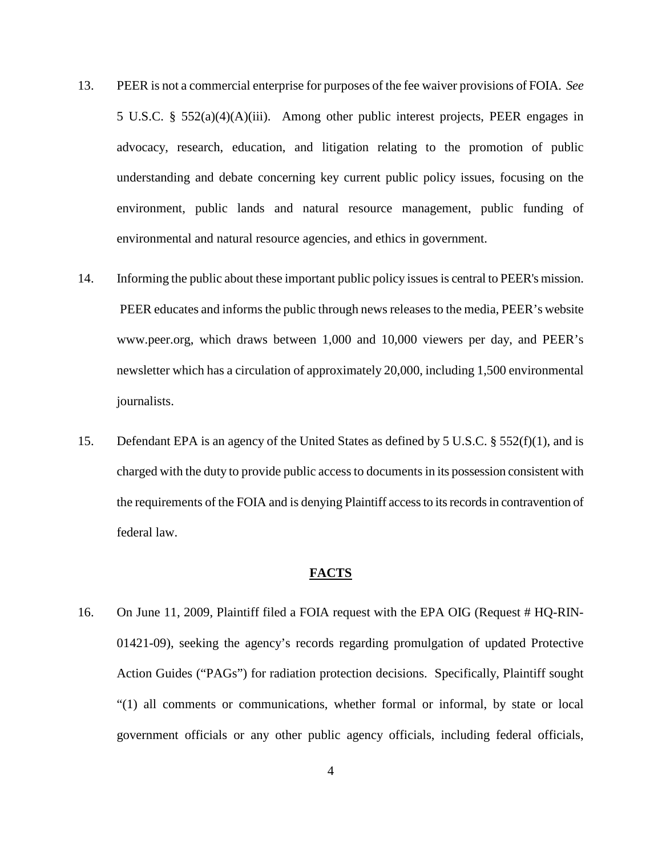- 13. PEER is not a commercial enterprise for purposes of the fee waiver provisions of FOIA. *See* 5 U.S.C. § 552(a)(4)(A)(iii). Among other public interest projects, PEER engages in advocacy, research, education, and litigation relating to the promotion of public understanding and debate concerning key current public policy issues, focusing on the environment, public lands and natural resource management, public funding of environmental and natural resource agencies, and ethics in government.
- 14. Informing the public about these important public policy issues is central to PEER's mission. PEER educates and informs the public through news releases to the media, PEER's website www.peer.org, which draws between 1,000 and 10,000 viewers per day, and PEER's newsletter which has a circulation of approximately 20,000, including 1,500 environmental journalists.
- 15. Defendant EPA is an agency of the United States as defined by 5 U.S.C. § 552(f)(1), and is charged with the duty to provide public access to documents in its possession consistent with the requirements of the FOIA and is denying Plaintiff access to its records in contravention of federal law.

## **FACTS**

16. On June 11, 2009, Plaintiff filed a FOIA request with the EPA OIG (Request # HQ-RIN-01421-09), seeking the agency's records regarding promulgation of updated Protective Action Guides ("PAGs") for radiation protection decisions. Specifically, Plaintiff sought "(1) all comments or communications, whether formal or informal, by state or local government officials or any other public agency officials, including federal officials,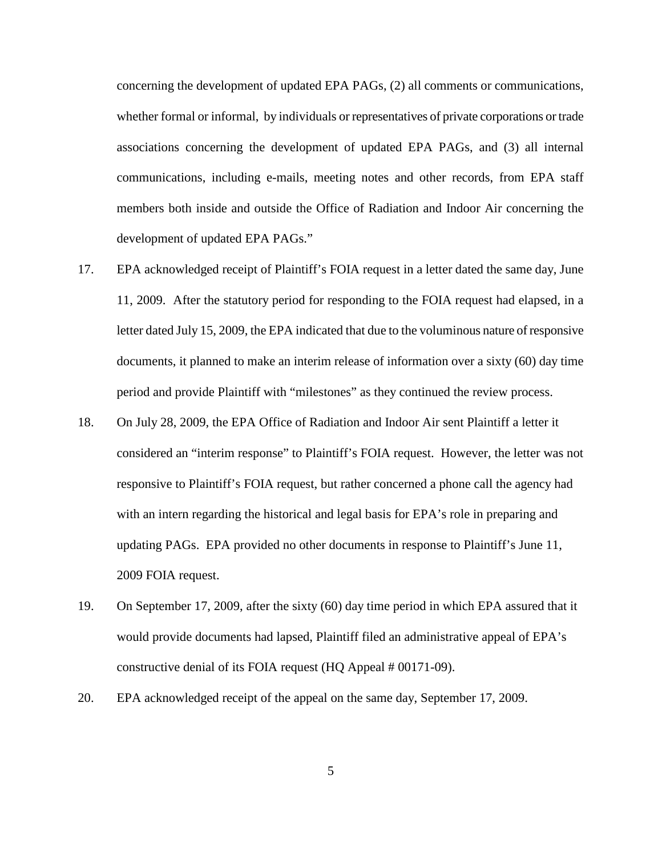concerning the development of updated EPA PAGs, (2) all comments or communications, whether formal or informal, by individuals or representatives of private corporations or trade associations concerning the development of updated EPA PAGs, and (3) all internal communications, including e-mails, meeting notes and other records, from EPA staff members both inside and outside the Office of Radiation and Indoor Air concerning the development of updated EPA PAGs."

- 17. EPA acknowledged receipt of Plaintiff's FOIA request in a letter dated the same day, June 11, 2009. After the statutory period for responding to the FOIA request had elapsed, in a letter dated July 15, 2009, the EPA indicated that due to the voluminous nature of responsive documents, it planned to make an interim release of information over a sixty (60) day time period and provide Plaintiff with "milestones" as they continued the review process.
- 18. On July 28, 2009, the EPA Office of Radiation and Indoor Air sent Plaintiff a letter it considered an "interim response" to Plaintiff's FOIA request. However, the letter was not responsive to Plaintiff's FOIA request, but rather concerned a phone call the agency had with an intern regarding the historical and legal basis for EPA's role in preparing and updating PAGs. EPA provided no other documents in response to Plaintiff's June 11, 2009 FOIA request.
- 19. On September 17, 2009, after the sixty (60) day time period in which EPA assured that it would provide documents had lapsed, Plaintiff filed an administrative appeal of EPA's constructive denial of its FOIA request (HQ Appeal # 00171-09).
- 20. EPA acknowledged receipt of the appeal on the same day, September 17, 2009.

5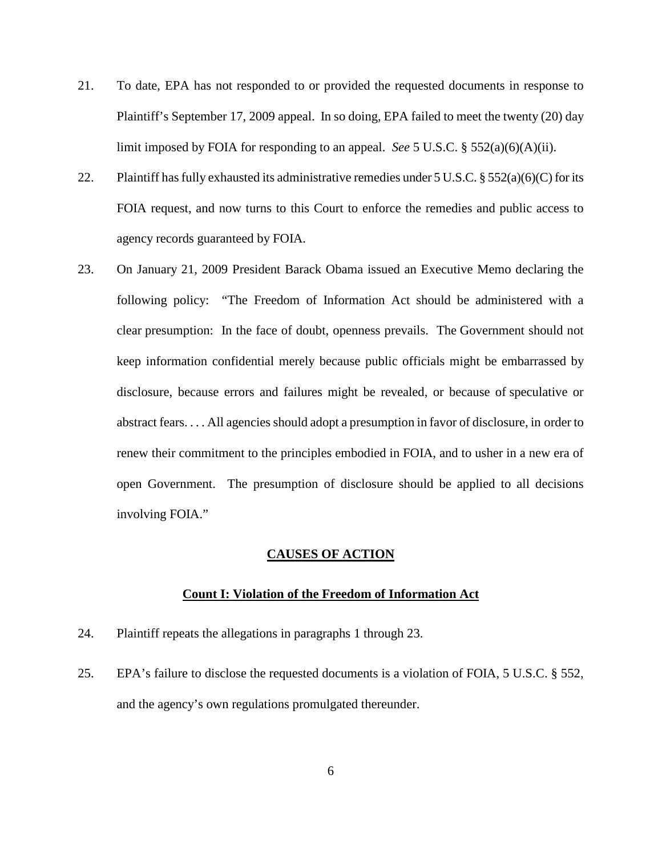- 21. To date, EPA has not responded to or provided the requested documents in response to Plaintiff's September 17, 2009 appeal. In so doing, EPA failed to meet the twenty (20) day limit imposed by FOIA for responding to an appeal. *See* 5 U.S.C. § 552(a)(6)(A)(ii).
- 22. Plaintiff has fully exhausted its administrative remedies under  $5 \text{ U.S.C.}$  §  $552(a)(6)(C)$  for its FOIA request, and now turns to this Court to enforce the remedies and public access to agency records guaranteed by FOIA.
- 23. On January 21, 2009 President Barack Obama issued an Executive Memo declaring the following policy: "The Freedom of Information Act should be administered with a clear presumption: In the face of doubt, openness prevails. The Government should not keep information confidential merely because public officials might be embarrassed by disclosure, because errors and failures might be revealed, or because of speculative or abstract fears. . . . All agencies should adopt a presumption in favor of disclosure, in order to renew their commitment to the principles embodied in FOIA, and to usher in a new era of open Government. The presumption of disclosure should be applied to all decisions involving FOIA."

#### **CAUSES OF ACTION**

#### **Count I: Violation of the Freedom of Information Act**

- 24. Plaintiff repeats the allegations in paragraphs 1 through 23.
- 25. EPA's failure to disclose the requested documents is a violation of FOIA, 5 U.S.C. § 552, and the agency's own regulations promulgated thereunder.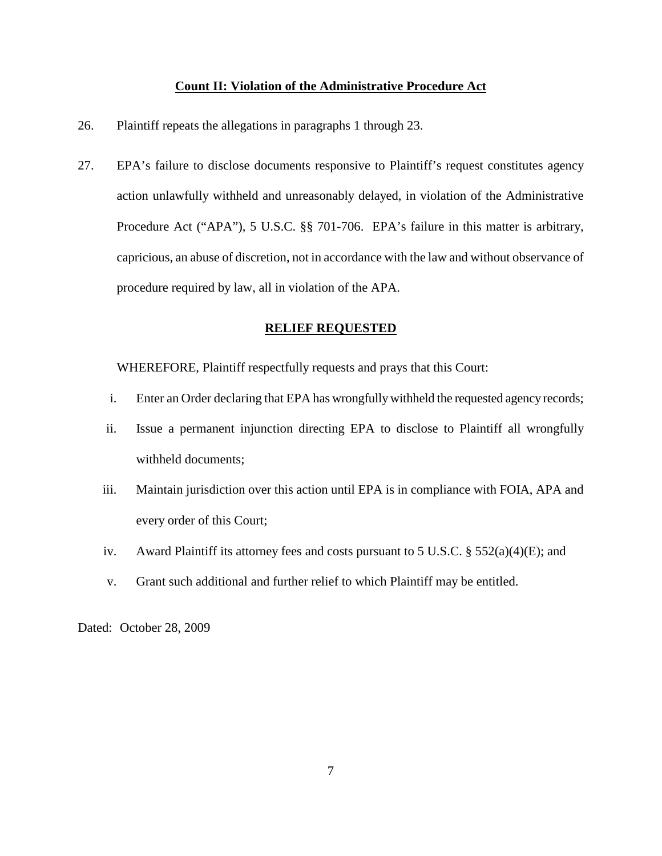### **Count II: Violation of the Administrative Procedure Act**

- 26. Plaintiff repeats the allegations in paragraphs 1 through 23.
- 27. EPA's failure to disclose documents responsive to Plaintiff's request constitutes agency action unlawfully withheld and unreasonably delayed, in violation of the Administrative Procedure Act ("APA"), 5 U.S.C. §§ 701-706. EPA's failure in this matter is arbitrary, capricious, an abuse of discretion, not in accordance with the law and without observance of procedure required by law, all in violation of the APA.

### **RELIEF REQUESTED**

WHEREFORE, Plaintiff respectfully requests and prays that this Court:

- i. Enter an Order declaring that EPA has wrongfully withheld the requested agency records;
- ii. Issue a permanent injunction directing EPA to disclose to Plaintiff all wrongfully withheld documents;
- iii. Maintain jurisdiction over this action until EPA is in compliance with FOIA, APA and every order of this Court;
- iv. Award Plaintiff its attorney fees and costs pursuant to 5 U.S.C. § 552(a)(4)(E); and
- v. Grant such additional and further relief to which Plaintiff may be entitled.

Dated: October 28, 2009